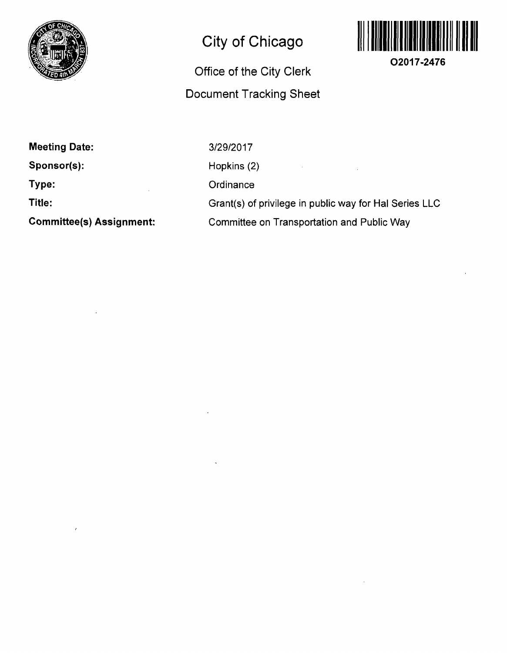

# **City of Chicago**

## **Office of the City Clerk Document Tracking Sheet**



**O2017-2476** 

| <b>Meeting Date:</b>            |
|---------------------------------|
| Sponsor(s):                     |
| Type:                           |
| Title:                          |
| <b>Committee(s) Assignment:</b> |

3/29/2017 Hopkins (2)  $\mathcal{L}(\mathcal{A})$  and  $\mathcal{L}(\mathcal{A})$  . In the  $\mathcal{L}(\mathcal{A})$  $\mathcal{L}$ **Ordinance** Grant(s) of privilege in public way for Hal Series LLC Committee on Transportation and Public Way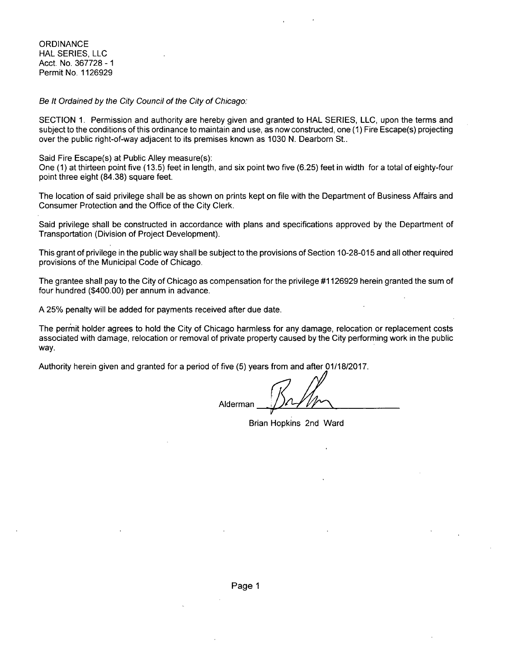**ORDINANCE** HAL SERIES, LLC Acct. No. 367728 -1 Permit No. 1126929

Se It Ordained by the City Council of the City of Chicago:

SECTION 1. Permission and authority are hereby given and granted to HAL SERIES, LLC, upon the terms and subject to the conditions of this ordinance to maintain and use, as now constructed, one(1) Fire Escape(s) projecting over the public right-of-way adjacent to its premises known as 1030 N. Dearborn St..

Said Fire Escape(s) at Public Alley measure(s):

One (1) at thirteen point five (13.5) feet in length, and six point two five (6.25) feet in width for a total of eighty-four point three eight (84.38) square feet.

The location of said privilege shall be as shown on prints kept on file with the Department of Business Affairs and Consumer Protection and the Office of the City Clerk.

Said privilege shall be constructed in accordance with plans and specifications approved by the Department of Transportation (Division of Project Development).

This grant of privilege in the public way shall be subject to the provisions of Section 10-28-015 and all other required provisions of the Municipal Code of Chicago.

The grantee shall pay to the City of Chicago as compensation for the privilege #1126929 herein granted the sum of four hundred (\$400.00) per annum in advance.

A 25% penalty will be added for payments received after due date.

The permit holder agrees to hold the City of Chicago harmless for any damage, relocation or replacement costs associated with damage, relocation or removal of private property caused by the City performing work in the public way.

Authority herein given and granted for a period of five (5) years from and after 01/18/2017

Alderman

Brian Hopkins 2nd Ward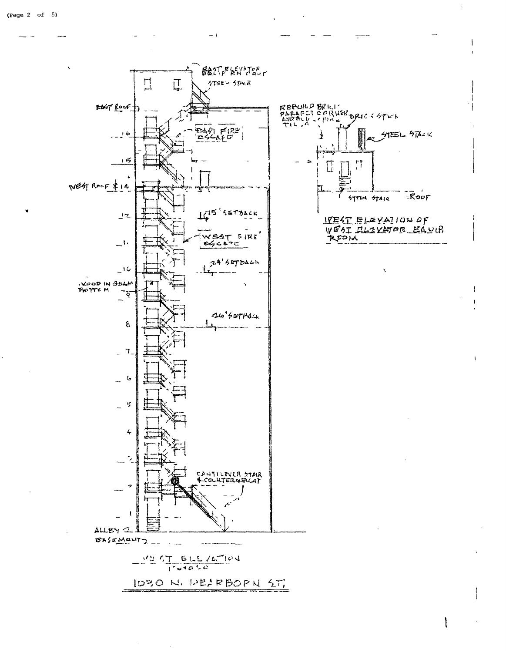

 $-1$ 

1030 N. DEIRBORN ST.